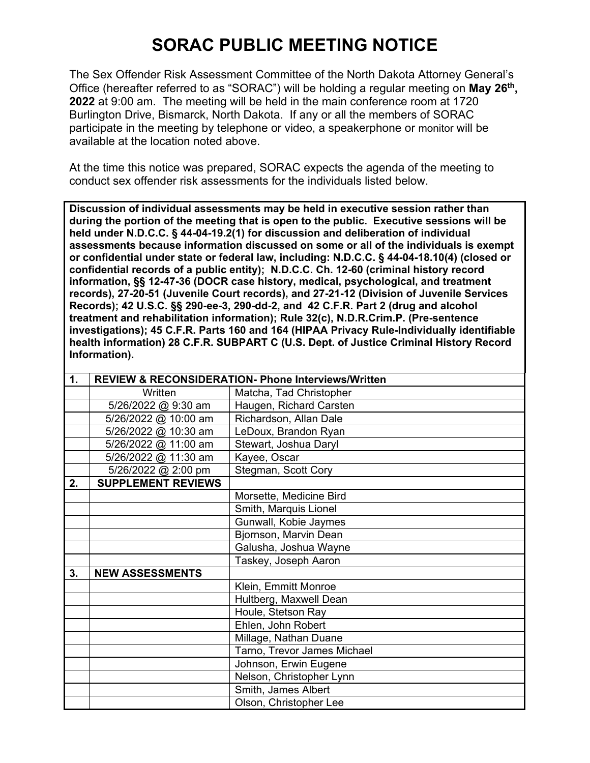## **SORAC PUBLIC MEETING NOTICE**

The Sex Offender Risk Assessment Committee of the North Dakota Attorney General's Office (hereafter referred to as "SORAC") will be holding a regular meeting on **May 26th, 2022** at 9:00 am. The meeting will be held in the main conference room at 1720 Burlington Drive, Bismarck, North Dakota. If any or all the members of SORAC participate in the meeting by telephone or video, a speakerphone or monitor will be available at the location noted above.

At the time this notice was prepared, SORAC expects the agenda of the meeting to conduct sex offender risk assessments for the individuals listed below.

**Discussion of individual assessments may be held in executive session rather than during the portion of the meeting that is open to the public. Executive sessions will be held under N.D.C.C. § 44-04-19.2(1) for discussion and deliberation of individual assessments because information discussed on some or all of the individuals is exempt or confidential under state or federal law, including: N.D.C.C. § 44-04-18.10(4) (closed or confidential records of a public entity); N.D.C.C. Ch. 12-60 (criminal history record information, §§ 12-47-36 (DOCR case history, medical, psychological, and treatment records), 27-20-51 (Juvenile Court records), and 27-21-12 (Division of Juvenile Services Records); 42 U.S.C. §§ 290-ee-3, 290-dd-2, and 42 C.F.R. Part 2 (drug and alcohol treatment and rehabilitation information); Rule 32(c), N.D.R.Crim.P. (Pre-sentence investigations); 45 C.F.R. Parts 160 and 164 (HIPAA Privacy Rule-Individually identifiable health information) 28 C.F.R. SUBPART C (U.S. Dept. of Justice Criminal History Record Information).** 

| $\mathbf 1$ . | <b>REVIEW &amp; RECONSIDERATION- Phone Interviews/Written</b> |                             |
|---------------|---------------------------------------------------------------|-----------------------------|
|               | Written                                                       | Matcha, Tad Christopher     |
|               | 5/26/2022 @ 9:30 am                                           | Haugen, Richard Carsten     |
|               | 5/26/2022 @ 10:00 am                                          | Richardson, Allan Dale      |
|               | 5/26/2022 @ 10:30 am                                          | LeDoux, Brandon Ryan        |
|               | 5/26/2022 @ 11:00 am                                          | Stewart, Joshua Daryl       |
|               | 5/26/2022 @ 11:30 am                                          | Kayee, Oscar                |
|               | 5/26/2022 @ 2:00 pm                                           | Stegman, Scott Cory         |
| 2.            | <b>SUPPLEMENT REVIEWS</b>                                     |                             |
|               |                                                               | Morsette, Medicine Bird     |
|               |                                                               | Smith, Marquis Lionel       |
|               |                                                               | Gunwall, Kobie Jaymes       |
|               |                                                               | Bjornson, Marvin Dean       |
|               |                                                               | Galusha, Joshua Wayne       |
|               |                                                               | Taskey, Joseph Aaron        |
| 3.            | <b>NEW ASSESSMENTS</b>                                        |                             |
|               |                                                               | Klein, Emmitt Monroe        |
|               |                                                               | Hultberg, Maxwell Dean      |
|               |                                                               | Houle, Stetson Ray          |
|               |                                                               | Ehlen, John Robert          |
|               |                                                               | Millage, Nathan Duane       |
|               |                                                               | Tarno, Trevor James Michael |
|               |                                                               | Johnson, Erwin Eugene       |
|               |                                                               | Nelson, Christopher Lynn    |
|               |                                                               | Smith, James Albert         |
|               |                                                               | Olson, Christopher Lee      |